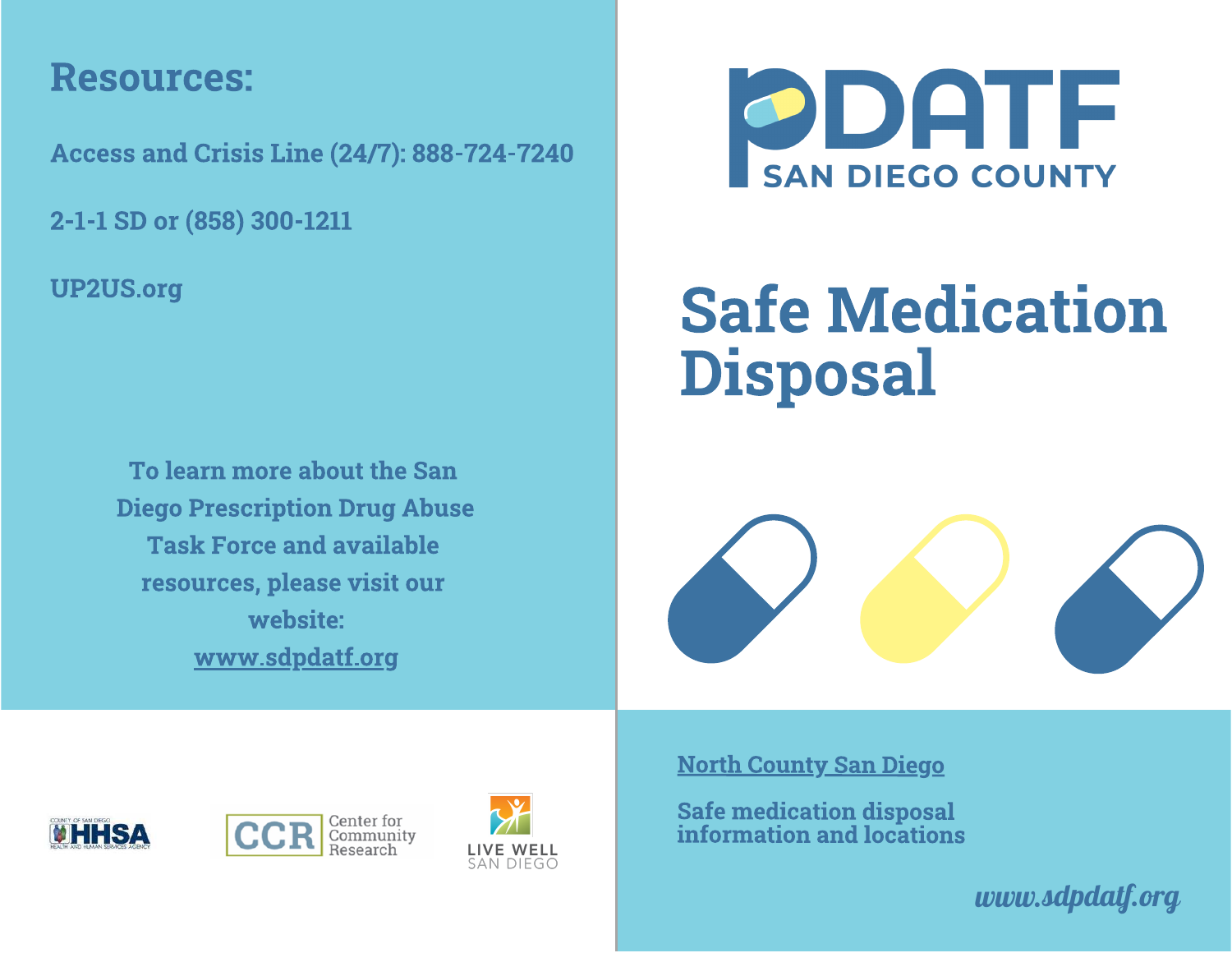## Resources:

Access and Crisis Line (24/7): 888-724-7240

2-1-1 SD or (858) 300-1211

UP2US.org

To learn more about the San Diego Prescription Drug Abuse **Task Force and available** resources, please visit our website: website: www.communication.com www.sdpdatf.org



# **Safe Medication**  $S_1$  ,  $S_2$  and  $S_3$  are  $S_4$  and  $S_5$  are  $S_6$  and  $S_7$  are  $S_7$  and  $S_8$  are  $S_7$  and  $S_8$  are  $S_7$  and  $S_8$  are  $S_7$  and  $S_8$  are  $S_7$  and  $S_8$  are  $S_7$  are  $S_7$  and  $S_8$  are  $S_7$  are  $S_7$  are  $S_$ Disposal







North County San Diego

Safe medication disposal information and locations

*www.sdpdatf.org*